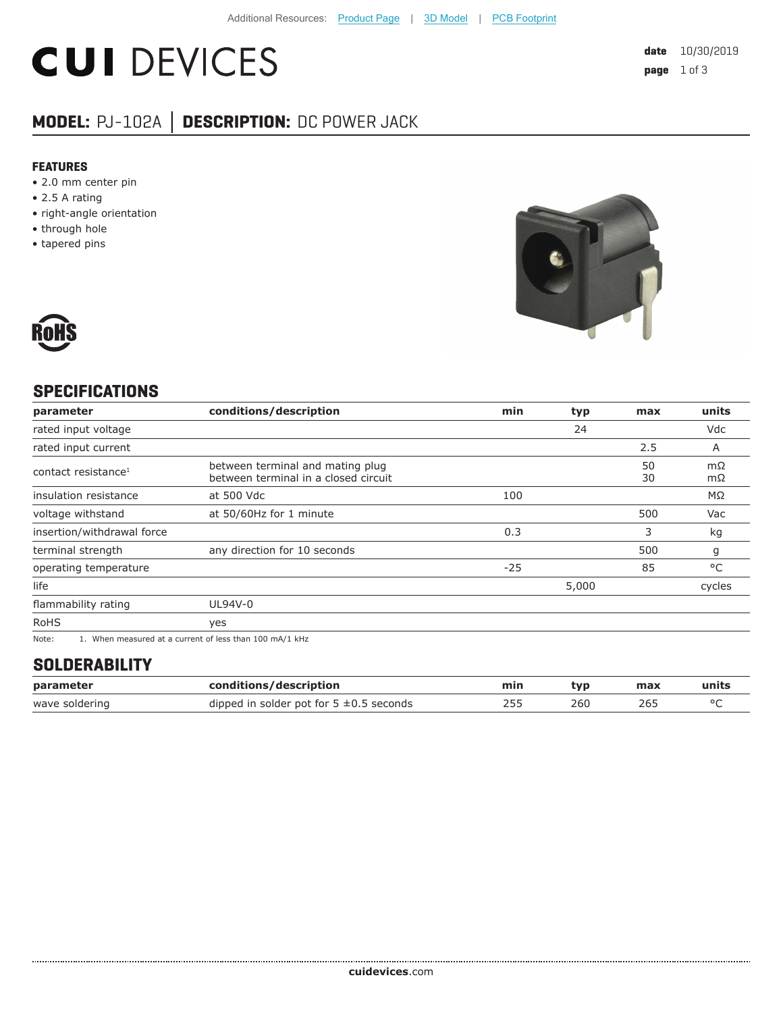# **CUI DEVICES**

### **MODEL:** PJ-102A **│ DESCRIPTION:** DC POWER JACK

#### **FEATURES**

- 2.0 mm center pin
- 2.5 A rating
- right-angle orientation
- through hole
- tapered pins





#### **SPECIFICATIONS**

| parameter                                                                                                                                                                                                                                                                                                                                                                                                                                                                                                                                                                       | conditions/description                                                   | min   | typ   | max      | units    |
|---------------------------------------------------------------------------------------------------------------------------------------------------------------------------------------------------------------------------------------------------------------------------------------------------------------------------------------------------------------------------------------------------------------------------------------------------------------------------------------------------------------------------------------------------------------------------------|--------------------------------------------------------------------------|-------|-------|----------|----------|
| rated input voltage                                                                                                                                                                                                                                                                                                                                                                                                                                                                                                                                                             |                                                                          |       | 24    |          | Vdc      |
| rated input current                                                                                                                                                                                                                                                                                                                                                                                                                                                                                                                                                             |                                                                          |       |       | 2.5      | A        |
| contact resistance <sup>1</sup>                                                                                                                                                                                                                                                                                                                                                                                                                                                                                                                                                 | between terminal and mating plug<br>between terminal in a closed circuit |       |       | 50<br>30 | mΩ<br>mΩ |
| insulation resistance                                                                                                                                                                                                                                                                                                                                                                                                                                                                                                                                                           | at 500 Vdc                                                               | 100   |       |          | ΜΩ       |
| voltage withstand                                                                                                                                                                                                                                                                                                                                                                                                                                                                                                                                                               | at 50/60Hz for 1 minute                                                  |       |       | 500      | Vac      |
| insertion/withdrawal force                                                                                                                                                                                                                                                                                                                                                                                                                                                                                                                                                      |                                                                          | 0.3   |       | 3        | kg       |
| terminal strength                                                                                                                                                                                                                                                                                                                                                                                                                                                                                                                                                               | any direction for 10 seconds                                             |       |       | 500      | g        |
| operating temperature                                                                                                                                                                                                                                                                                                                                                                                                                                                                                                                                                           |                                                                          | $-25$ |       | 85       | °C       |
| life                                                                                                                                                                                                                                                                                                                                                                                                                                                                                                                                                                            |                                                                          |       | 5,000 |          | cycles   |
| flammability rating                                                                                                                                                                                                                                                                                                                                                                                                                                                                                                                                                             | UL94V-0                                                                  |       |       |          |          |
| <b>RoHS</b>                                                                                                                                                                                                                                                                                                                                                                                                                                                                                                                                                                     | yes                                                                      |       |       |          |          |
| the contract of the contract of the contract of the contract of the contract of the contract of the contract of<br>$\mathbf{a} \cdot \mathbf{b} = \mathbf{a} \cdot \mathbf{a} + \mathbf{a} \cdot \mathbf{a} + \mathbf{a} \cdot \mathbf{a} + \mathbf{a} \cdot \mathbf{a} + \mathbf{a} \cdot \mathbf{a} + \mathbf{a} \cdot \mathbf{a} + \mathbf{a} \cdot \mathbf{a} + \mathbf{a} \cdot \mathbf{a} + \mathbf{a} \cdot \mathbf{a} + \mathbf{a} \cdot \mathbf{a} + \mathbf{a} \cdot \mathbf{a} + \mathbf{a} \cdot \mathbf{a} + \mathbf{a} \cdot \mathbf{a} + \mathbf{a} \cdot \math$ |                                                                          |       |       |          |          |

Note: 1. When measured at a current of less than 100 mA/1 kHz

#### **SOLDERABILITY**

| parameter      | conditions/description                       | min | tvp | max | units |
|----------------|----------------------------------------------|-----|-----|-----|-------|
| wave soldering | dipped in solder pot for $5 \pm 0.5$ seconds | 255 | 260 | 26. |       |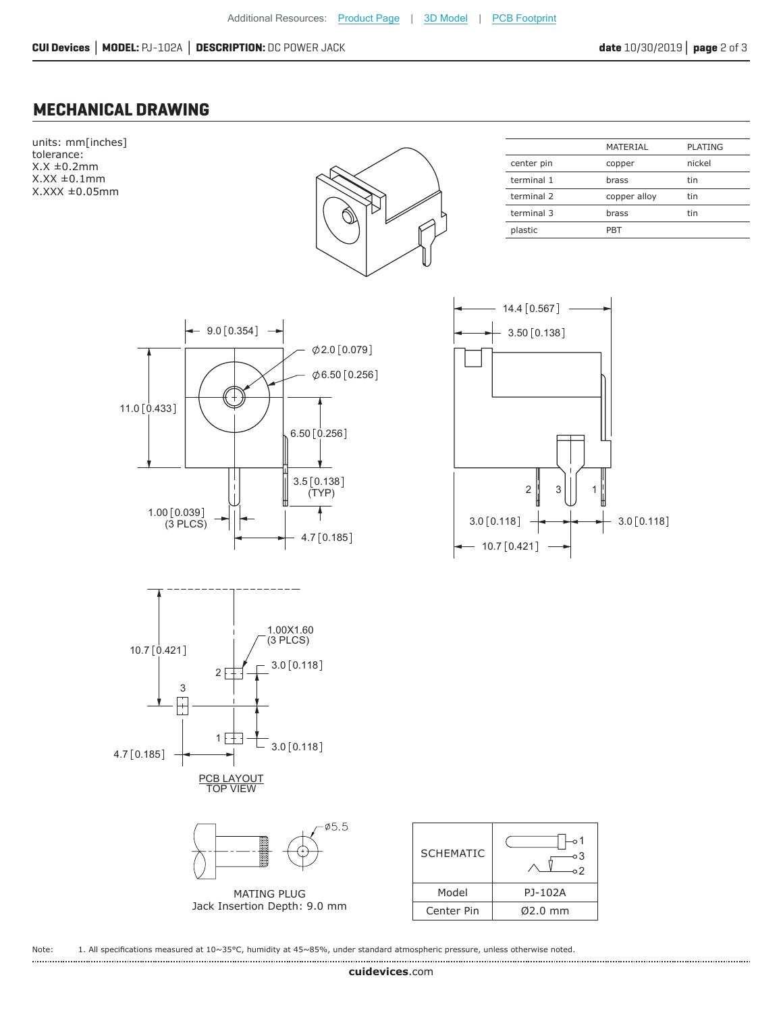#### **MECHANICAL DRAWING**